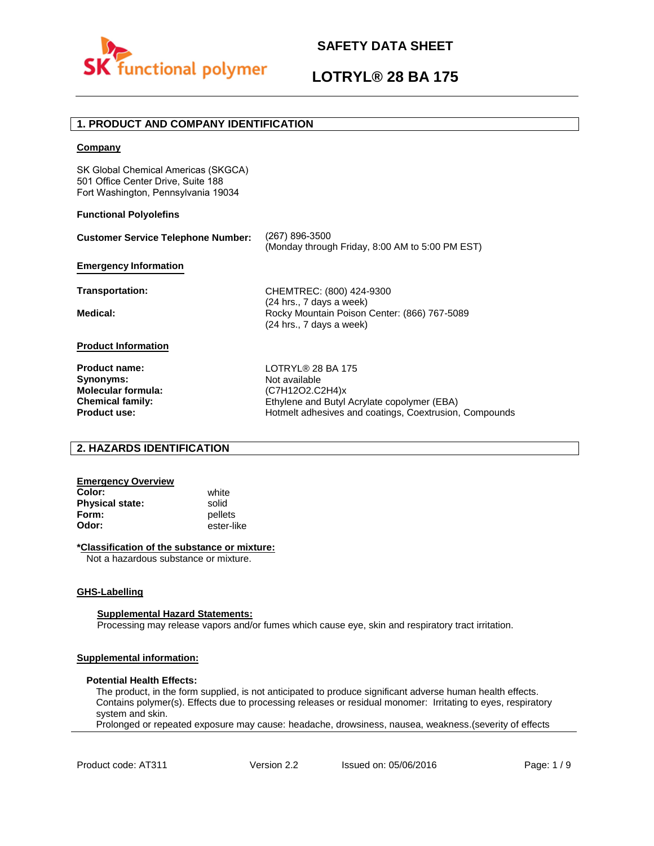

# **LOTRYL® 28 BA 175**

### **1. PRODUCT AND COMPANY IDENTIFICATION**

### **Company**

SK Global Chemical Americas (SKGCA) 501 Office Center Drive, Suite 188 Fort Washington, Pennsylvania 19034

### **Functional Polyolefins**

| <b>Customer Service Telephone Number:</b>                                                                        | (267) 896-3500<br>(Monday through Friday, 8:00 AM to 5:00 PM EST)                                                                                                     |
|------------------------------------------------------------------------------------------------------------------|-----------------------------------------------------------------------------------------------------------------------------------------------------------------------|
| <b>Emergency Information</b>                                                                                     |                                                                                                                                                                       |
| Transportation:                                                                                                  | CHEMTREC: (800) 424-9300                                                                                                                                              |
| Medical:                                                                                                         | (24 hrs., 7 days a week)<br>Rocky Mountain Poison Center: (866) 767-5089<br>(24 hrs., 7 days a week)                                                                  |
| <b>Product Information</b>                                                                                       |                                                                                                                                                                       |
| <b>Product name:</b><br>Synonyms:<br><b>Molecular formula:</b><br><b>Chemical family:</b><br><b>Product use:</b> | <b>LOTRYL® 28 BA 175</b><br>Not available<br>(C7H12O2.C2H4)x<br>Ethylene and Butyl Acrylate copolymer (EBA)<br>Hotmelt adhesives and coatings, Coextrusion, Compounds |

### **2. HAZARDS IDENTIFICATION**

### **Emergency Overview**

**Color:** white **Physical state:** solid<br> **Form:** nellet **Form:** pellets<br> **Odor:** ester-li

**Odor:** ester-like

### **\*Classification of the substance or mixture:**

Not a hazardous substance or mixture.

### **GHS-Labelling**

### **Supplemental Hazard Statements:**

Processing may release vapors and/or fumes which cause eye, skin and respiratory tract irritation.

### **Supplemental information:**

### **Potential Health Effects:**

The product, in the form supplied, is not anticipated to produce significant adverse human health effects. Contains polymer(s). Effects due to processing releases or residual monomer: Irritating to eyes, respiratory system and skin.

Prolonged or repeated exposure may cause: headache, drowsiness, nausea, weakness.(severity of effects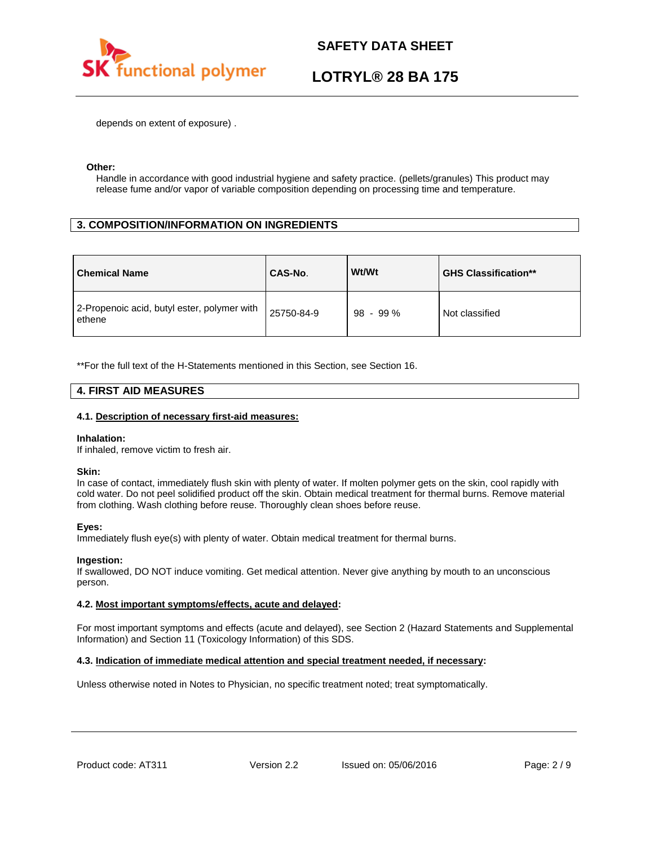

# **LOTRYL® 28 BA 175**

depends on extent of exposure) .

### **Other:**

Handle in accordance with good industrial hygiene and safety practice. (pellets/granules) This product may release fume and/or vapor of variable composition depending on processing time and temperature.

## **3. COMPOSITION/INFORMATION ON INGREDIENTS**

| <b>Chemical Name</b>                                  | CAS-No.    | Wt/Wt      | <b>GHS Classification**</b> |
|-------------------------------------------------------|------------|------------|-----------------------------|
| 2-Propenoic acid, butyl ester, polymer with<br>ethene | 25750-84-9 | $98 - 99%$ | Not classified              |

\*\*For the full text of the H-Statements mentioned in this Section, see Section 16.

### **4. FIRST AID MEASURES**

### **4.1. Description of necessary first-aid measures:**

### **Inhalation:**

If inhaled, remove victim to fresh air.

### **Skin:**

In case of contact, immediately flush skin with plenty of water. If molten polymer gets on the skin, cool rapidly with cold water. Do not peel solidified product off the skin. Obtain medical treatment for thermal burns. Remove material from clothing. Wash clothing before reuse. Thoroughly clean shoes before reuse.

### **Eyes:**

Immediately flush eye(s) with plenty of water. Obtain medical treatment for thermal burns.

### **Ingestion:**

If swallowed, DO NOT induce vomiting. Get medical attention. Never give anything by mouth to an unconscious person.

### **4.2. Most important symptoms/effects, acute and delayed:**

For most important symptoms and effects (acute and delayed), see Section 2 (Hazard Statements and Supplemental Information) and Section 11 (Toxicology Information) of this SDS.

### **4.3. Indication of immediate medical attention and special treatment needed, if necessary:**

Unless otherwise noted in Notes to Physician, no specific treatment noted; treat symptomatically.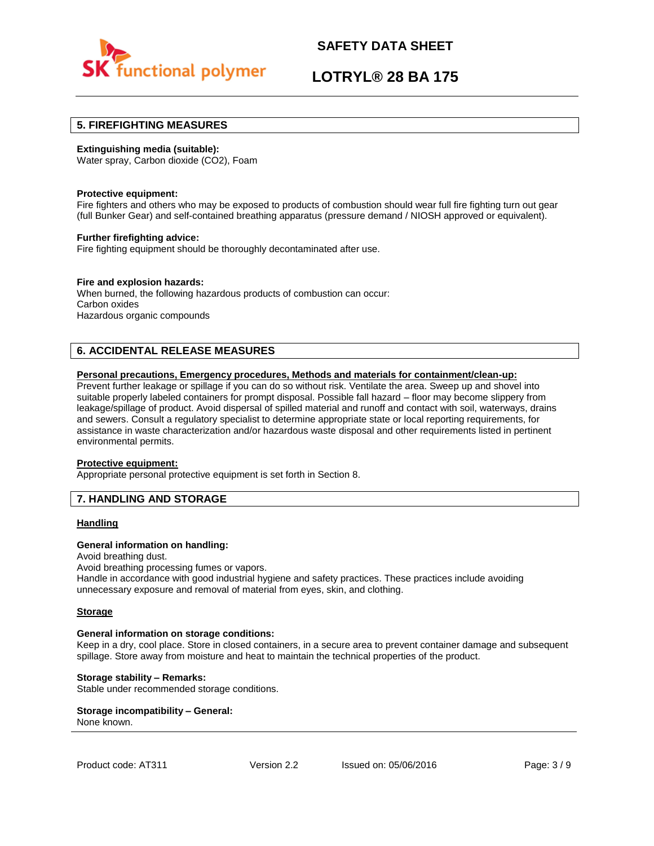

## **LOTRYL® 28 BA 175**

### **5. FIREFIGHTING MEASURES**

### **Extinguishing media (suitable):**

Water spray, Carbon dioxide (CO2), Foam

### **Protective equipment:**

Fire fighters and others who may be exposed to products of combustion should wear full fire fighting turn out gear (full Bunker Gear) and self-contained breathing apparatus (pressure demand / NIOSH approved or equivalent).

### **Further firefighting advice:**

Fire fighting equipment should be thoroughly decontaminated after use.

### **Fire and explosion hazards:**

When burned, the following hazardous products of combustion can occur: Carbon oxides Hazardous organic compounds

## **6. ACCIDENTAL RELEASE MEASURES**

### **Personal precautions, Emergency procedures, Methods and materials for containment/clean-up:**

Prevent further leakage or spillage if you can do so without risk. Ventilate the area. Sweep up and shovel into suitable properly labeled containers for prompt disposal. Possible fall hazard – floor may become slippery from leakage/spillage of product. Avoid dispersal of spilled material and runoff and contact with soil, waterways, drains and sewers. Consult a regulatory specialist to determine appropriate state or local reporting requirements, for assistance in waste characterization and/or hazardous waste disposal and other requirements listed in pertinent environmental permits.

### **Protective equipment:**

Appropriate personal protective equipment is set forth in Section 8.

### **7. HANDLING AND STORAGE**

### **Handling**

### **General information on handling:**

Avoid breathing dust.

Avoid breathing processing fumes or vapors.

Handle in accordance with good industrial hygiene and safety practices. These practices include avoiding unnecessary exposure and removal of material from eyes, skin, and clothing.

### **Storage**

### **General information on storage conditions:**

Keep in a dry, cool place. Store in closed containers, in a secure area to prevent container damage and subsequent spillage. Store away from moisture and heat to maintain the technical properties of the product.

### **Storage stability – Remarks:**

Stable under recommended storage conditions.

#### **Storage incompatibility – General:**  None known.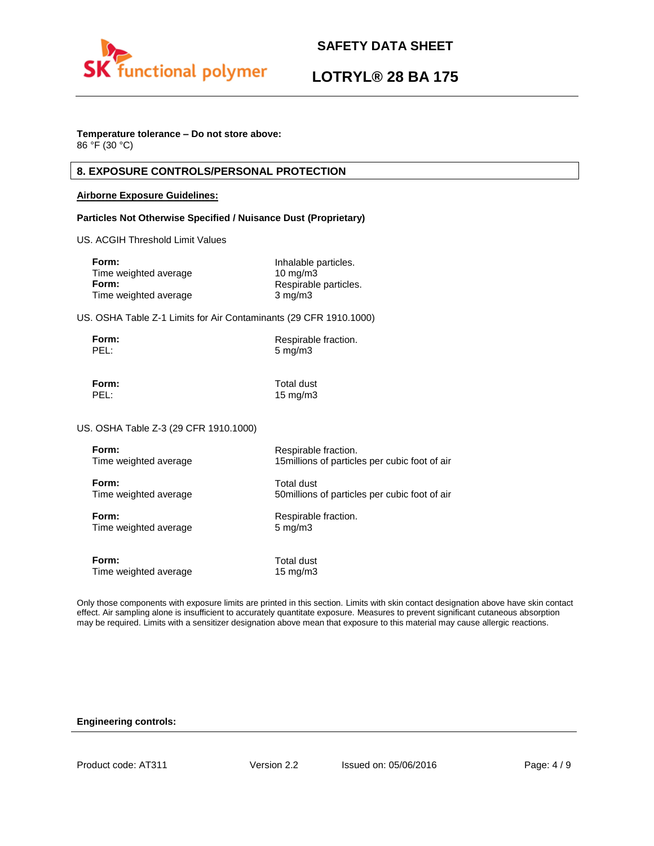

# **LOTRYL® 28 BA 175**

## **Temperature tolerance – Do not store above:**

86 °F (30 °C)

## **8. EXPOSURE CONTROLS/PERSONAL PROTECTION**

### **Airborne Exposure Guidelines:**

### **Particles Not Otherwise Specified / Nuisance Dust (Proprietary)**

US. ACGIH Threshold Limit Values

| Inhalable particles.  |
|-----------------------|
| $10 \text{ mg/m}$     |
| Respirable particles. |
| $3 \text{ mg/m}$      |
|                       |

US. OSHA Table Z-1 Limits for Air Contaminants (29 CFR 1910.1000)

| Form: | Respirable fraction. |
|-------|----------------------|
| PEL:  | $5 \text{ mg/m}$     |

**Form:** Total dust PEL: 15 mg/m3

US. OSHA Table Z-3 (29 CFR 1910.1000)

| Form:                 | Respirable fraction.                           |
|-----------------------|------------------------------------------------|
| Time weighted average | 15 millions of particles per cubic foot of air |
| Form:                 | Total dust                                     |
| Time weighted average | 50 millions of particles per cubic foot of air |
| Form:                 | Respirable fraction.                           |
| Time weighted average | $5 \text{ mg/m}$                               |
| Form:                 | Total dust                                     |
| Time weighted average | 15 $mg/m3$                                     |

Only those components with exposure limits are printed in this section. Limits with skin contact designation above have skin contact effect. Air sampling alone is insufficient to accurately quantitate exposure. Measures to prevent significant cutaneous absorption may be required. Limits with a sensitizer designation above mean that exposure to this material may cause allergic reactions.

### **Engineering controls:**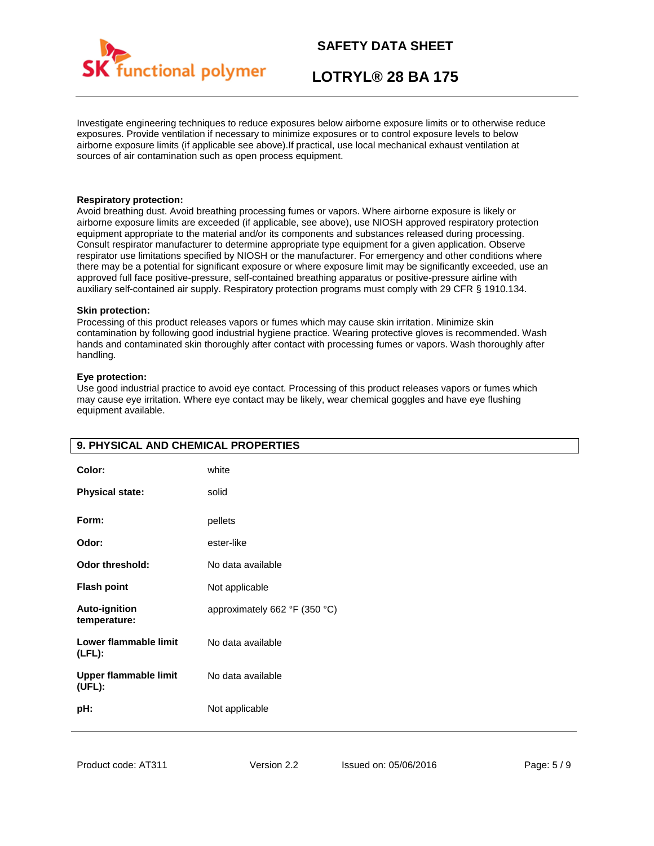

# **LOTRYL® 28 BA 175**

Investigate engineering techniques to reduce exposures below airborne exposure limits or to otherwise reduce exposures. Provide ventilation if necessary to minimize exposures or to control exposure levels to below airborne exposure limits (if applicable see above).If practical, use local mechanical exhaust ventilation at sources of air contamination such as open process equipment.

### **Respiratory protection:**

Avoid breathing dust. Avoid breathing processing fumes or vapors. Where airborne exposure is likely or airborne exposure limits are exceeded (if applicable, see above), use NIOSH approved respiratory protection equipment appropriate to the material and/or its components and substances released during processing. Consult respirator manufacturer to determine appropriate type equipment for a given application. Observe respirator use limitations specified by NIOSH or the manufacturer. For emergency and other conditions where there may be a potential for significant exposure or where exposure limit may be significantly exceeded, use an approved full face positive-pressure, self-contained breathing apparatus or positive-pressure airline with auxiliary self-contained air supply. Respiratory protection programs must comply with 29 CFR § 1910.134.

### **Skin protection:**

Processing of this product releases vapors or fumes which may cause skin irritation. Minimize skin contamination by following good industrial hygiene practice. Wearing protective gloves is recommended. Wash hands and contaminated skin thoroughly after contact with processing fumes or vapors. Wash thoroughly after handling.

### **Eye protection:**

Use good industrial practice to avoid eye contact. Processing of this product releases vapors or fumes which may cause eye irritation. Where eye contact may be likely, wear chemical goggles and have eye flushing equipment available.

| 9. PHYSICAL AND CHEMICAL PROPERTIES    |                               |
|----------------------------------------|-------------------------------|
| Color:                                 | white                         |
| <b>Physical state:</b>                 | solid                         |
| Form:                                  | pellets                       |
| Odor:                                  | ester-like                    |
| Odor threshold:                        | No data available             |
| <b>Flash point</b>                     | Not applicable                |
| <b>Auto-ignition</b><br>temperature:   | approximately 662 °F (350 °C) |
| Lower flammable limit<br>$(LFL)$ :     | No data available             |
| <b>Upper flammable limit</b><br>(UEL): | No data available             |
| pH:                                    | Not applicable                |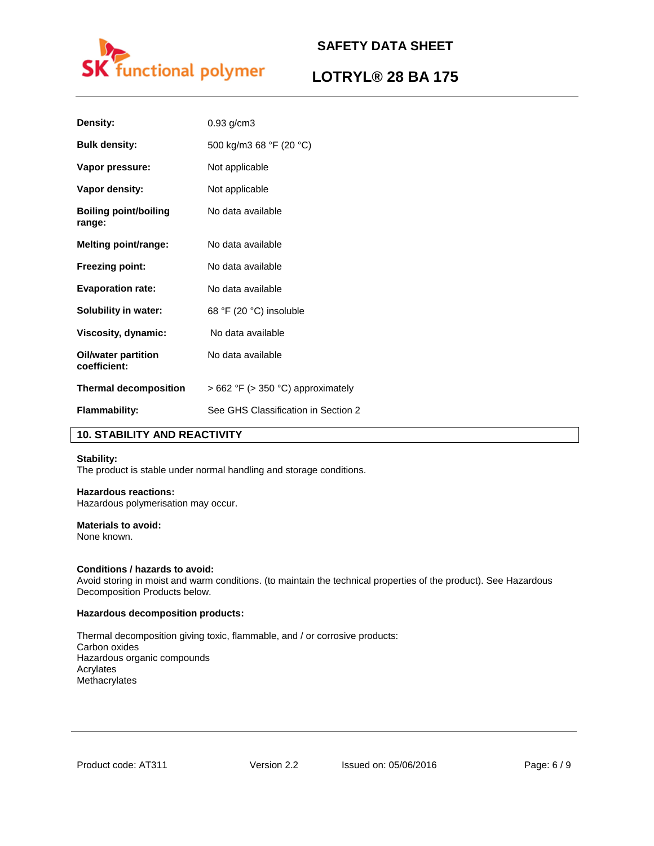

# **LOTRYL® 28 BA 175**

| Density:                               | $0.93$ g/cm $3$                        |
|----------------------------------------|----------------------------------------|
| <b>Bulk density:</b>                   | 500 kg/m3 68 °F (20 °C)                |
| Vapor pressure:                        | Not applicable                         |
| Vapor density:                         | Not applicable                         |
| <b>Boiling point/boiling</b><br>range: | No data available                      |
| <b>Melting point/range:</b>            | No data available                      |
| <b>Freezing point:</b>                 | No data available                      |
| <b>Evaporation rate:</b>               | No data available                      |
| <b>Solubility in water:</b>            | 68 °F (20 °C) insoluble                |
| Viscosity, dynamic:                    | No data available                      |
| Oil/water partition<br>coefficient:    | No data available                      |
| <b>Thermal decomposition</b>           | $> 662$ °F ( $> 350$ °C) approximately |
| <b>Flammability:</b>                   | See GHS Classification in Section 2    |

## **10. STABILITY AND REACTIVITY**

### **Stability:**

The product is stable under normal handling and storage conditions.

## **Hazardous reactions:**

Hazardous polymerisation may occur.

## **Materials to avoid:**

None known.

### **Conditions / hazards to avoid:**

Avoid storing in moist and warm conditions. (to maintain the technical properties of the product). See Hazardous Decomposition Products below.

### **Hazardous decomposition products:**

Thermal decomposition giving toxic, flammable, and / or corrosive products: Carbon oxides Hazardous organic compounds Acrylates Methacrylates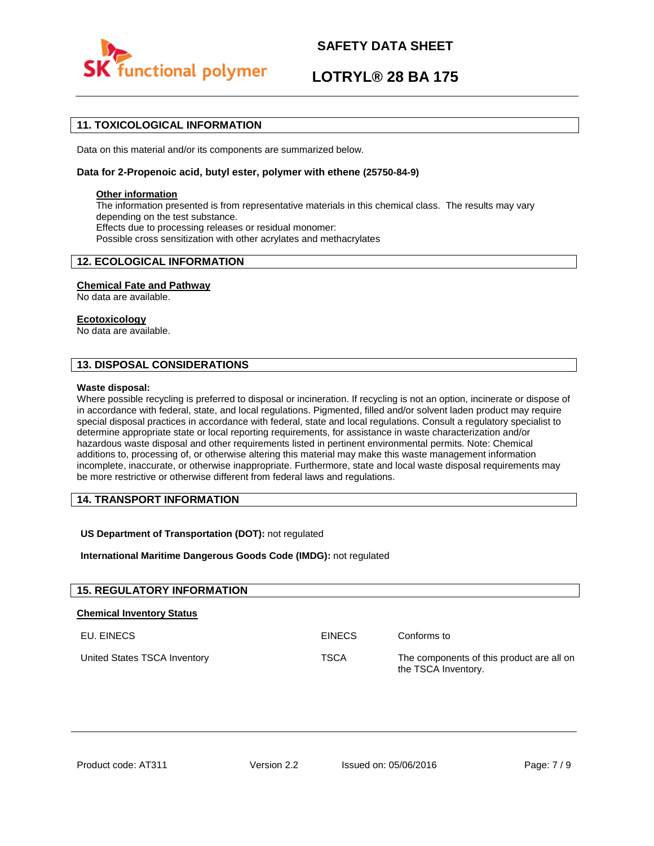

# **LOTRYL® 28 BA 175**

## **11. TOXICOLOGICAL INFORMATION**

Data on this material and/or its components are summarized below.

### **Data for 2-Propenoic acid, butyl ester, polymer with ethene (25750-84-9)**

### **Other information**

The information presented is from representative materials in this chemical class. The results may vary depending on the test substance. Effects due to processing releases or residual monomer: Possible cross sensitization with other acrylates and methacrylates

### **12. ECOLOGICAL INFORMATION**

### **Chemical Fate and Pathway**

No data are available.

### **Ecotoxicology**

No data are available.

### **13. DISPOSAL CONSIDERATIONS**

### **Waste disposal:**

Where possible recycling is preferred to disposal or incineration. If recycling is not an option, incinerate or dispose of in accordance with federal, state, and local regulations. Pigmented, filled and/or solvent laden product may require special disposal practices in accordance with federal, state and local regulations. Consult a regulatory specialist to determine appropriate state or local reporting requirements, for assistance in waste characterization and/or hazardous waste disposal and other requirements listed in pertinent environmental permits. Note: Chemical additions to, processing of, or otherwise altering this material may make this waste management information incomplete, inaccurate, or otherwise inappropriate. Furthermore, state and local waste disposal requirements may be more restrictive or otherwise different from federal laws and regulations.

### **14. TRANSPORT INFORMATION**

### **US Department of Transportation (DOT):** not regulated

**International Maritime Dangerous Goods Code (IMDG):** not regulated

| <b>15. REGULATORY INFORMATION</b> |               |                                                                  |
|-----------------------------------|---------------|------------------------------------------------------------------|
| <b>Chemical Inventory Status</b>  |               |                                                                  |
| EU. EINECS                        | <b>EINECS</b> | Conforms to                                                      |
| United States TSCA Inventory      | <b>TSCA</b>   | The components of this product are all on<br>the TSCA Inventory. |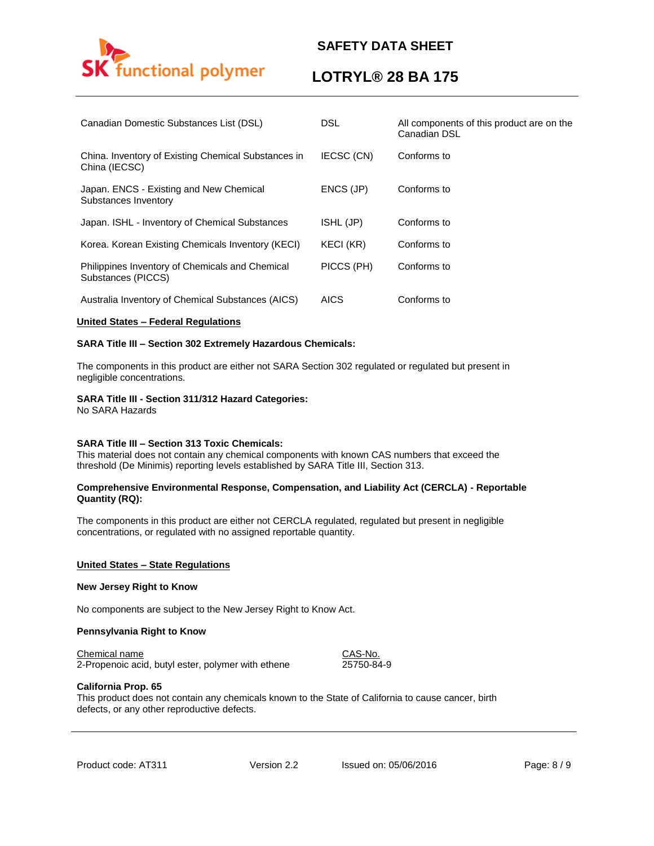

## **LOTRYL® 28 BA 175**

| Canadian Domestic Substances List (DSL)                               | <b>DSL</b>  | All components of this product are on the<br>Canadian DSL |
|-----------------------------------------------------------------------|-------------|-----------------------------------------------------------|
| China. Inventory of Existing Chemical Substances in<br>China (IECSC)  | IECSC (CN)  | Conforms to                                               |
| Japan. ENCS - Existing and New Chemical<br>Substances Inventory       | ENCS (JP)   | Conforms to                                               |
| Japan. ISHL - Inventory of Chemical Substances                        | ISHL (JP)   | Conforms to                                               |
| Korea. Korean Existing Chemicals Inventory (KECI)                     | KECI (KR)   | Conforms to                                               |
| Philippines Inventory of Chemicals and Chemical<br>Substances (PICCS) | PICCS (PH)  | Conforms to                                               |
| Australia Inventory of Chemical Substances (AICS)                     | <b>AICS</b> | Conforms to                                               |

### **United States – Federal Regulations**

### **SARA Title III – Section 302 Extremely Hazardous Chemicals:**

The components in this product are either not SARA Section 302 regulated or regulated but present in negligible concentrations.

### **SARA Title III - Section 311/312 Hazard Categories:**

No SARA Hazards

### **SARA Title III – Section 313 Toxic Chemicals:**

This material does not contain any chemical components with known CAS numbers that exceed the threshold (De Minimis) reporting levels established by SARA Title III, Section 313.

### **Comprehensive Environmental Response, Compensation, and Liability Act (CERCLA) - Reportable Quantity (RQ):**

The components in this product are either not CERCLA regulated, regulated but present in negligible concentrations, or regulated with no assigned reportable quantity.

### **United States – State Regulations**

### **New Jersey Right to Know**

No components are subject to the New Jersey Right to Know Act.

### **Pennsylvania Right to Know**

### Chemical name CAS-No.

2-Propenoic acid, butyl ester, polymer with ethene 25750-84-9

### **California Prop. 65**

This product does not contain any chemicals known to the State of California to cause cancer, birth defects, or any other reproductive defects.

Product code: AT311 Version 2.2 Issued on: 05/06/2016 Page: 8/9